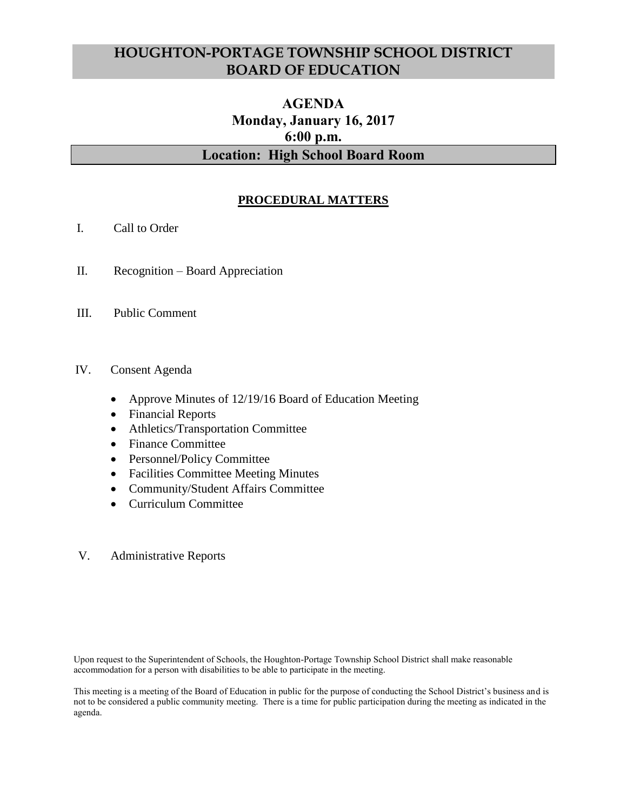# **HOUGHTON-PORTAGE TOWNSHIP SCHOOL DISTRICT BOARD OF EDUCATION**

# **AGENDA Monday, January 16, 2017 6:00 p.m. Location: High School Board Room**

# **PROCEDURAL MATTERS**

- I. Call to Order
- II. Recognition Board Appreciation
- III. Public Comment

#### IV. Consent Agenda

- Approve Minutes of 12/19/16 Board of Education Meeting
- Financial Reports
- Athletics/Transportation Committee
- Finance Committee
- Personnel/Policy Committee
- Facilities Committee Meeting Minutes
- Community/Student Affairs Committee
- Curriculum Committee

#### V. Administrative Reports

Upon request to the Superintendent of Schools, the Houghton-Portage Township School District shall make reasonable accommodation for a person with disabilities to be able to participate in the meeting.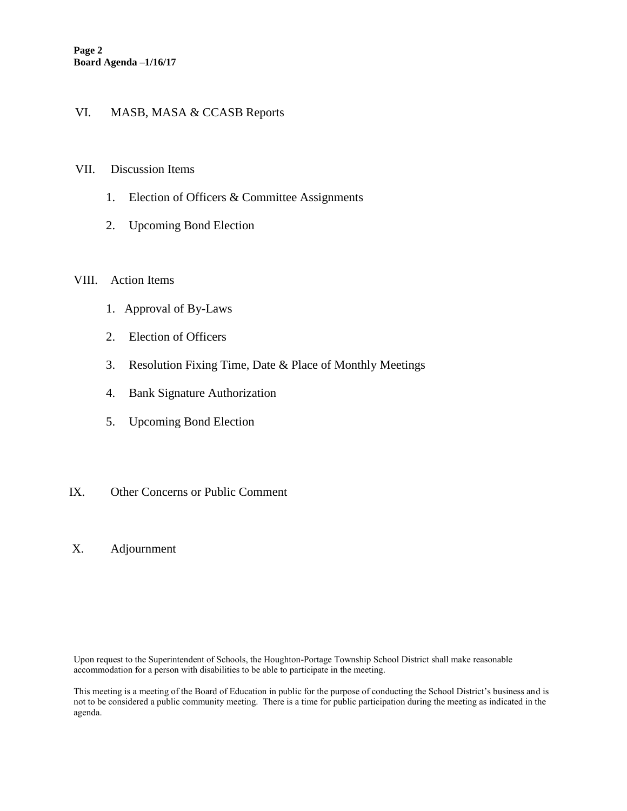## VI. MASB, MASA & CCASB Reports

#### VII. Discussion Items

- 1. Election of Officers & Committee Assignments
- 2. Upcoming Bond Election

#### VIII. Action Items

- 1. Approval of By-Laws
- 2. Election of Officers
- 3. Resolution Fixing Time, Date & Place of Monthly Meetings
- 4. Bank Signature Authorization
- 5. Upcoming Bond Election
- IX. Other Concerns or Public Comment
- X. Adjournment

Upon request to the Superintendent of Schools, the Houghton-Portage Township School District shall make reasonable accommodation for a person with disabilities to be able to participate in the meeting.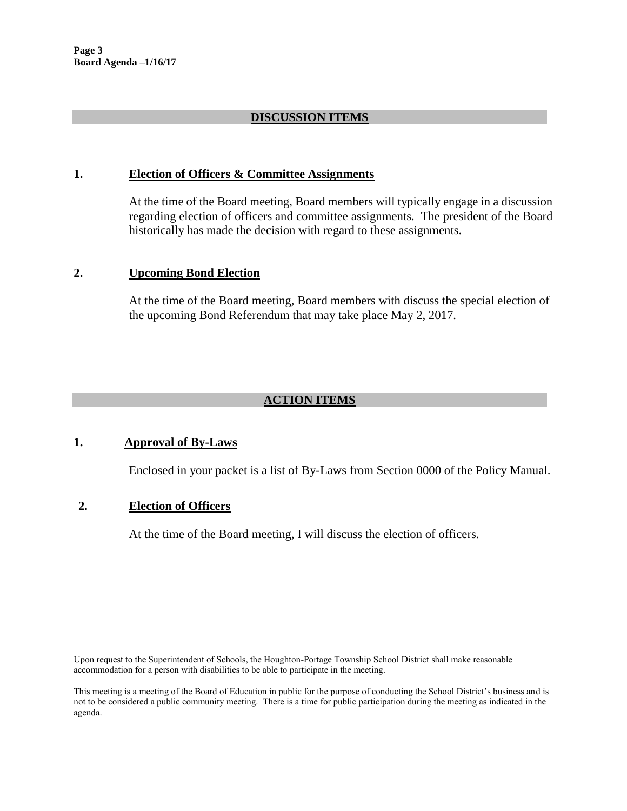## **DISCUSSION ITEMS**

#### **1. Election of Officers & Committee Assignments**

At the time of the Board meeting, Board members will typically engage in a discussion regarding election of officers and committee assignments. The president of the Board historically has made the decision with regard to these assignments.

#### **2. Upcoming Bond Election**

At the time of the Board meeting, Board members with discuss the special election of the upcoming Bond Referendum that may take place May 2, 2017.

# **ACTION ITEMS**

## **1. Approval of By-Laws**

Enclosed in your packet is a list of By-Laws from Section 0000 of the Policy Manual.

## **2. Election of Officers**

At the time of the Board meeting, I will discuss the election of officers.

Upon request to the Superintendent of Schools, the Houghton-Portage Township School District shall make reasonable accommodation for a person with disabilities to be able to participate in the meeting.